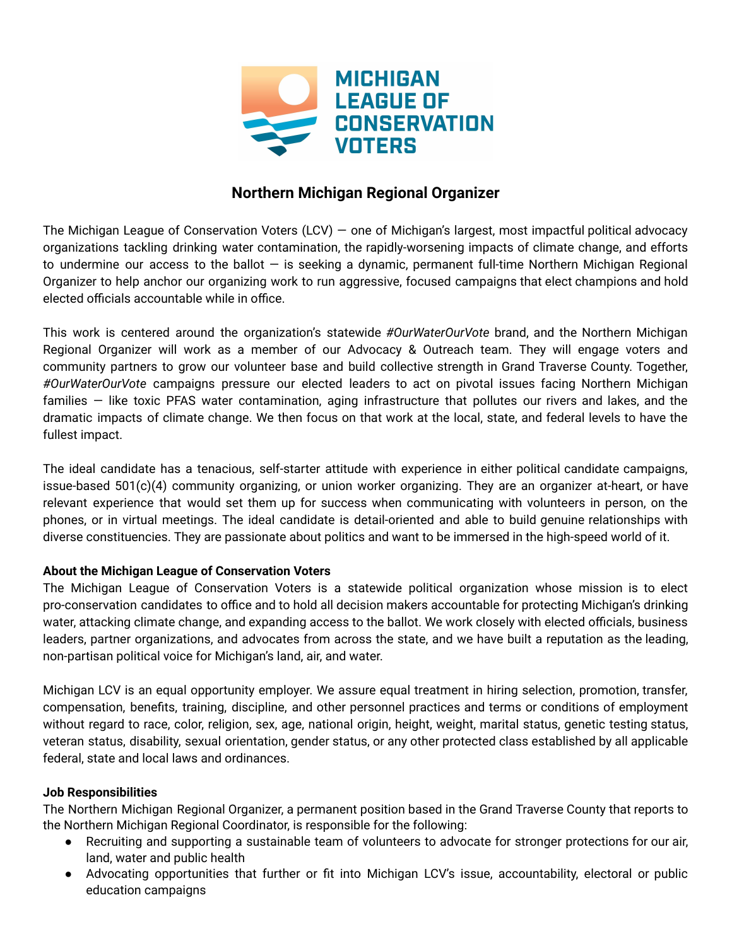

# **Northern Michigan Regional Organizer**

The Michigan League of Conservation Voters (LCV) — one of Michigan's largest, most impactful political advocacy organizations tackling drinking water contamination, the rapidly-worsening impacts of climate change, and efforts to undermine our access to the ballot — is seeking a dynamic, permanent full-time Northern Michigan Regional Organizer to help anchor our organizing work to run aggressive, focused campaigns that elect champions and hold elected officials accountable while in office.

This work is centered around the organization's statewide *#OurWaterOurVote* brand, and the Northern Michigan Regional Organizer will work as a member of our Advocacy & Outreach team. They will engage voters and community partners to grow our volunteer base and build collective strength in Grand Traverse County. Together, *#OurWaterOurVote* campaigns pressure our elected leaders to act on pivotal issues facing Northern Michigan families — like toxic PFAS water contamination, aging infrastructure that pollutes our rivers and lakes, and the dramatic impacts of climate change. We then focus on that work at the local, state, and federal levels to have the fullest impact.

The ideal candidate has a tenacious, self-starter attitude with experience in either political candidate campaigns, issue-based 501(c)(4) community organizing, or union worker organizing. They are an organizer at-heart, or have relevant experience that would set them up for success when communicating with volunteers in person, on the phones, or in virtual meetings. The ideal candidate is detail-oriented and able to build genuine relationships with diverse constituencies. They are passionate about politics and want to be immersed in the high-speed world of it.

## **About the Michigan League of Conservation Voters**

The Michigan League of Conservation Voters is a statewide political organization whose mission is to elect pro-conservation candidates to office and to hold all decision makers accountable for protecting Michigan's drinking water, attacking climate change, and expanding access to the ballot. We work closely with elected officials, business leaders, partner organizations, and advocates from across the state, and we have built a reputation as the leading, non-partisan political voice for Michigan's land, air, and water.

Michigan LCV is an equal opportunity employer. We assure equal treatment in hiring selection, promotion, transfer, compensation, benefits, training, discipline, and other personnel practices and terms or conditions of employment without regard to race, color, religion, sex, age, national origin, height, weight, marital status, genetic testing status, veteran status, disability, sexual orientation, gender status, or any other protected class established by all applicable federal, state and local laws and ordinances.

## **Job Responsibilities**

The Northern Michigan Regional Organizer, a permanent position based in the Grand Traverse County that reports to the Northern Michigan Regional Coordinator, is responsible for the following:

- Recruiting and supporting a sustainable team of volunteers to advocate for stronger protections for our air, land, water and public health
- Advocating opportunities that further or fit into Michigan LCV's issue, accountability, electoral or public education campaigns